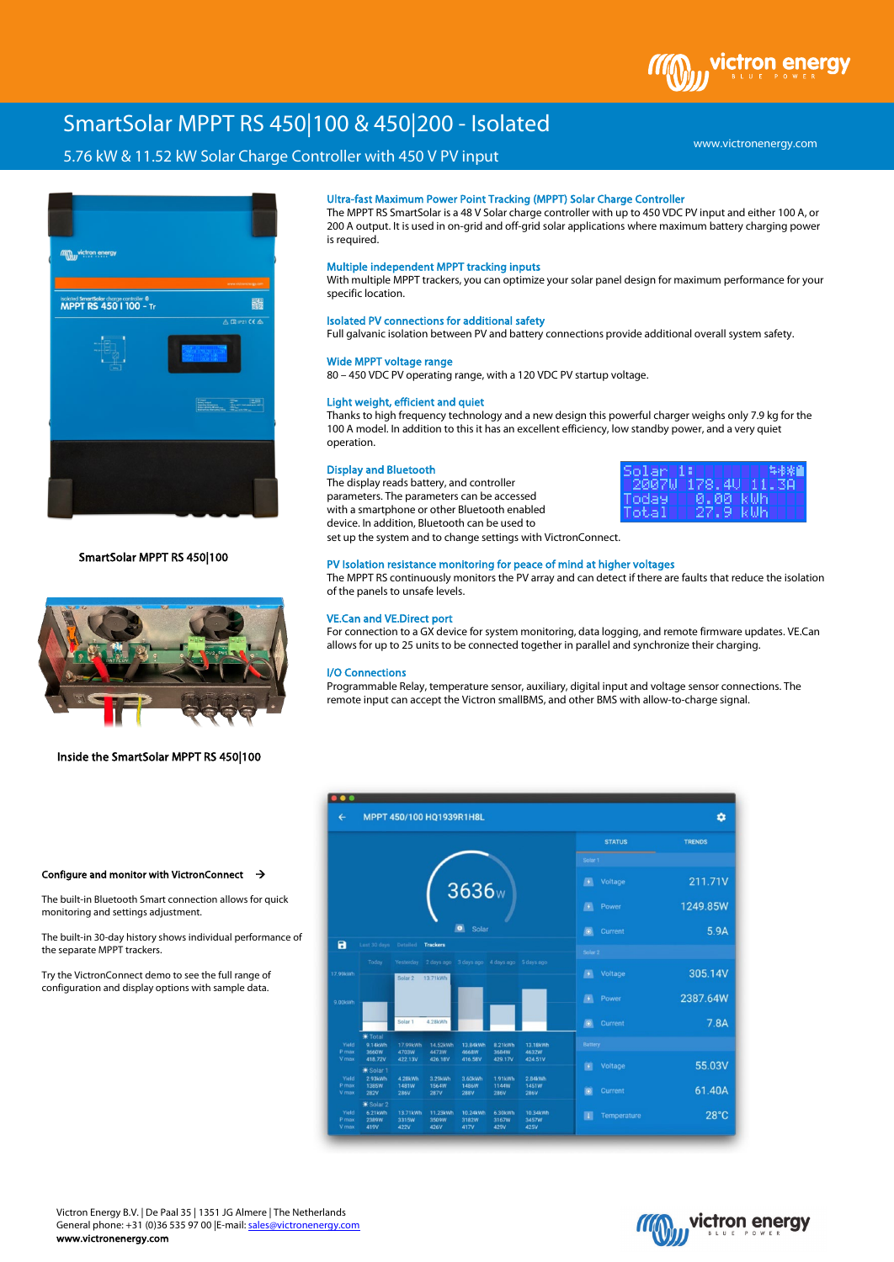

# SmartSolar MPPT RS 450|100 & 450|200 - Isolated

# 5.76 kW & 11.52 kW Solar Charge Controller with 450 V PV input



SmartSolar MPPT RS 450|100



## Inside the SmartSolar MPPT RS 450|100

# Ultra-fast Maximum Power Point Tracking (MPPT) Solar Charge Controller

The MPPT RS SmartSolar is a 48 V Solar charge controller with up to 450 VDC PV input and either 100 A, or 200 A output. It is used in on-grid and off-grid solar applications where maximum battery charging power is required.

### Multiple independent MPPT tracking inputs

With multiple MPPT trackers, you can optimize your solar panel design for maximum performance for your specific location.

# Isolated PV connections for additional safety

Full galvanic isolation between PV and battery connections provide additional overall system safety.

#### Wide MPPT voltage range

80 – 450 VDC PV operating range, with a 120 VDC PV startup voltage.

#### Light weight, efficient and quiet

Thanks to high frequency technology and a new design this powerful charger weighs only 7.9 kg for the 100 A model. In addition to this it has an excellent efficiency, low standby power, and a very quiet operation.

#### Display and Bluetooth

The display reads battery, and controller parameters. The parameters can be accessed with a smartphone or other Bluetooth enabled device. In addition, Bluetooth can be used to set up the system and to change settings with VictronConnect.



# PV Isolation resistance monitoring for peace of mind at higher voltages

The MPPT RS continuously monitors the PV array and can detect if there are faults that reduce the isolation of the panels to unsafe levels.

#### VE.Can and VE.Direct port

For connection to a GX device for system monitoring, data logging, and remote firmware updates. VE.Can allows for up to 25 units to be connected together in parallel and synchronize their charging.

#### I/O Connections

Programmable Relay, temperature sensor, auxiliary, digital input and voltage sensor connections. The remote input can accept the Victron smallBMS, and other BMS with allow-to-charge signal.



#### Configure and monitor with VictronConnect  $\rightarrow$

The built-in Bluetooth Smart connection allows for quick monitoring and settings adjustment.

The built-in 30-day history shows individual performance of the separate MPPT trackers.

Try the VictronConnect demo to see the full range of configuration and display options with sample data.



www.victronenergy.com